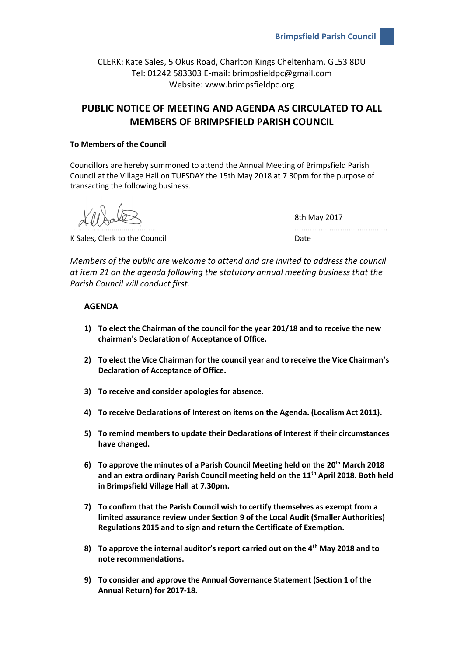CLERK: Kate Sales, 5 Okus Road, Charlton Kings Cheltenham. GL53 8DU Tel: 01242 583303 E-mail: brimpsfieldpc@gmail.com Website: www.brimpsfieldpc.org

# **PUBLIC NOTICE OF MEETING AND AGENDA AS CIRCULATED TO ALL MEMBERS OF BRIMPSFIELD PARISH COUNCIL**

### **To Members of the Council**

Councillors are hereby summoned to attend the Annual Meeting of Brimpsfield Parish Council at the Village Hall on TUESDAY the 15th May 2018 at 7.30pm for the purpose of transacting the following business.

K Sales, Clerk to the Council and Date Date

8th May 2017 ………………………………………………………

*Members of the public are welcome to attend and are invited to address the council at item 21 on the agenda following the statutory annual meeting business that the Parish Council will conduct first.*

# **AGENDA**

- **1) To elect the Chairman of the council for the year 201/18 and to receive the new chairman's Declaration of Acceptance of Office.**
- **2) To elect the Vice Chairman for the council year and to receive the Vice Chairman's Declaration of Acceptance of Office.**
- **3) To receive and consider apologies for absence.**
- **4) To receive Declarations of Interest on items on the Agenda. (Localism Act 2011).**
- **5) To remind members to update their Declarations of Interest if their circumstances have changed.**
- **6) To approve the minutes of a Parish Council Meeting held on the 20th March 2018 and an extra ordinary Parish Council meeting held on the 11th April 2018. Both held in Brimpsfield Village Hall at 7.30pm.**
- **7) To confirm that the Parish Council wish to certify themselves as exempt from a limited assurance review under Section 9 of the Local Audit (Smaller Authorities) Regulations 2015 and to sign and return the Certificate of Exemption.**
- **8) To approve the internal auditor's report carried out on the 4th May 2018 and to note recommendations.**
- **9) To consider and approve the Annual Governance Statement (Section 1 of the Annual Return) for 2017-18.**